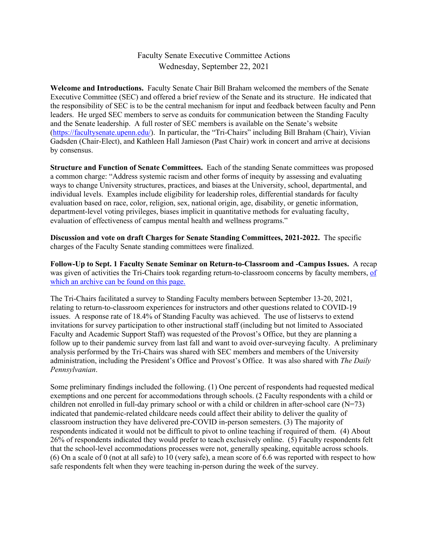## Faculty Senate Executive Committee Actions Wednesday, September 22, 2021

**Welcome and Introductions.** Faculty Senate Chair Bill Braham welcomed the members of the Senate Executive Committee (SEC) and offered a brief review of the Senate and its structure. He indicated that the responsibility of SEC is to be the central mechanism for input and feedback between faculty and Penn leaders. He urged SEC members to serve as conduits for communication between the Standing Faculty and the Senate leadership. A full roster of SEC members is available on the Senate's website [\(https://facultysenate.upenn.edu/\)](https://facultysenate.upenn.edu/). In particular, the "Tri-Chairs" including Bill Braham (Chair), Vivian Gadsden (Chair-Elect), and Kathleen Hall Jamieson (Past Chair) work in concert and arrive at decisions by consensus.

**Structure and Function of Senate Committees.** Each of the standing Senate committees was proposed a common charge: "Address systemic racism and other forms of inequity by assessing and evaluating ways to change University structures, practices, and biases at the University, school, departmental, and individual levels. Examples include eligibility for leadership roles, differential standards for faculty evaluation based on race, color, religion, sex, national origin, age, disability, or genetic information, department-level voting privileges, biases implicit in quantitative methods for evaluating faculty, evaluation of effectiveness of campus mental health and wellness programs."

**Discussion and vote on draft Charges for Senate Standing Committees, 2021-2022.** The specific charges of the Faculty Senate standing committees were finalized.

**Follow-Up to Sept. 1 Faculty Senate Seminar on Return-to-Classroom and -Campus Issues.** A recap was given of activities the Tri-Chairs took regarding return-to-classroom concerns by faculty members, [of](https://provost.upenn.edu/senate/video-addressing-your-fall-2021-instructional-questions)  which an archive can be found on this page.

The Tri-Chairs facilitated a survey to Standing Faculty members between September 13-20, 2021, relating to return-to-classroom experiences for instructors and other questions related to COVID-19 issues. A response rate of 18.4% of Standing Faculty was achieved. The use of listservs to extend invitations for survey participation to other instructional staff (including but not limited to Associated Faculty and Academic Support Staff) was requested of the Provost's Office, but they are planning a follow up to their pandemic survey from last fall and want to avoid over-surveying faculty. A preliminary analysis performed by the Tri-Chairs was shared with SEC members and members of the University administration, including the President's Office and Provost's Office. It was also shared with *The Daily Pennsylvanian*.

Some preliminary findings included the following. (1) One percent of respondents had requested medical exemptions and one percent for accommodations through schools. (2 Faculty respondents with a child or children not enrolled in full-day primary school or with a child or children in after-school care  $(N=73)$ indicated that pandemic-related childcare needs could affect their ability to deliver the quality of classroom instruction they have delivered pre-COVID in-person semesters. (3) The majority of respondents indicated it would not be difficult to pivot to online teaching if required of them. (4) About 26% of respondents indicated they would prefer to teach exclusively online. (5) Faculty respondents felt that the school-level accommodations processes were not, generally speaking, equitable across schools. (6) On a scale of 0 (not at all safe) to 10 (very safe), a mean score of 6.6 was reported with respect to how safe respondents felt when they were teaching in-person during the week of the survey.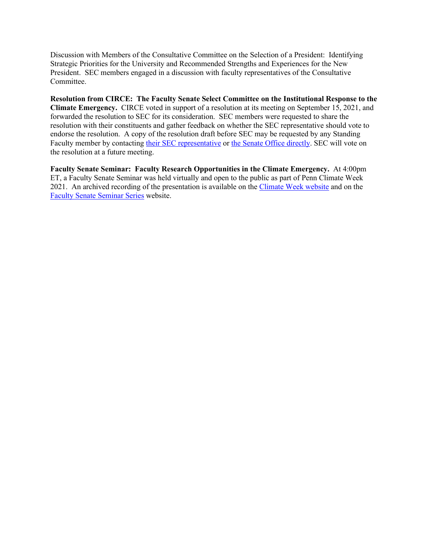Discussion with Members of the Consultative Committee on the Selection of a President: Identifying Strategic Priorities for the University and Recommended Strengths and Experiences for the New President. SEC members engaged in a discussion with faculty representatives of the Consultative Committee.

**Resolution from CIRCE: The Faculty Senate Select Committee on the Institutional Response to the Climate Emergency.** CIRCE voted in support of a resolution at its meeting on September 15, 2021, and forwarded the resolution to SEC for its consideration. SEC members were requested to share the resolution with their constituents and gather feedback on whether the SEC representative should vote to endorse the resolution. A copy of the resolution draft before SEC may be requested by any Standing Faculty member by contacting [their SEC representative](https://provost.upenn.edu/senate/2021-2022-membership) or [the Senate Office directly.](mailto:senate@pobox.upenn.edu?subject=Requesting%20copy%20of%20CIRCE%20resolution%20draft) SEC will vote on the resolution at a future meeting.

**Faculty Senate Seminar: Faculty Research Opportunities in the Climate Emergency.** At 4:00pm ET, a Faculty Senate Seminar was held virtually and open to the public as part of Penn Climate Week 2021. An archived recording of the presentation is available on the [Climate Week website](https://climateweek.provost.upenn.edu/event/faculty-research-opportunities-climate-emergency-perspectives-unfccc-and-ipcc) and on the [Faculty Senate Seminar Series](https://provost.upenn.edu/senate/faculty-senate-seminar-series) website.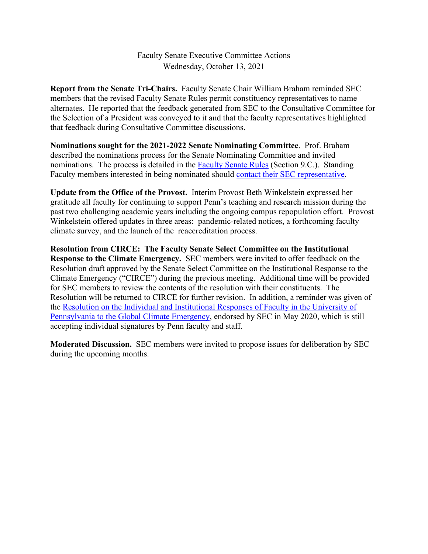Faculty Senate Executive Committee Actions Wednesday, October 13, 2021

**Report from the Senate Tri-Chairs.** Faculty Senate Chair William Braham reminded SEC members that the revised Faculty Senate Rules permit constituency representatives to name alternates. He reported that the feedback generated from SEC to the Consultative Committee for the Selection of a President was conveyed to it and that the faculty representatives highlighted that feedback during Consultative Committee discussions.

**Nominations sought for the 2021-2022 Senate Nominating Committee**. Prof. Braham described the nominations process for the Senate Nominating Committee and invited nominations. The process is detailed in the [Faculty Senate Rules](https://provost.upenn.edu/senate/faculty-senate-rules) (Section 9.C.). Standing Faculty members interested in being nominated should [contact their SEC representative.](https://provost.upenn.edu/senate/2021-2022-membership)

**Update from the Office of the Provost.** Interim Provost Beth Winkelstein expressed her gratitude all faculty for continuing to support Penn's teaching and research mission during the past two challenging academic years including the ongoing campus repopulation effort. Provost Winkelstein offered updates in three areas: pandemic-related notices, a forthcoming faculty climate survey, and the launch of the reaccreditation process.

**Resolution from CIRCE: The Faculty Senate Select Committee on the Institutional Response to the Climate Emergency.** SEC members were invited to offer feedback on the Resolution draft approved by the Senate Select Committee on the Institutional Response to the Climate Emergency ("CIRCE") during the previous meeting. Additional time will be provided for SEC members to review the contents of the resolution with their constituents. The Resolution will be returned to CIRCE for further revision. In addition, a reminder was given of the [Resolution on the Individual and Institutional Responses of Faculty in the University of](https://almanac.upenn.edu/volume-66-number-35#from-the-senate-office-resolution-on-the-individual-and-institutional-responses-of-faculty-in-the-university-of-pennsylvania-to-the-global-climate-emergency)  [Pennsylvania to the Global Climate Emergency,](https://almanac.upenn.edu/volume-66-number-35#from-the-senate-office-resolution-on-the-individual-and-institutional-responses-of-faculty-in-the-university-of-pennsylvania-to-the-global-climate-emergency) endorsed by SEC in May 2020, which is still accepting individual signatures by Penn faculty and staff.

**Moderated Discussion.** SEC members were invited to propose issues for deliberation by SEC during the upcoming months.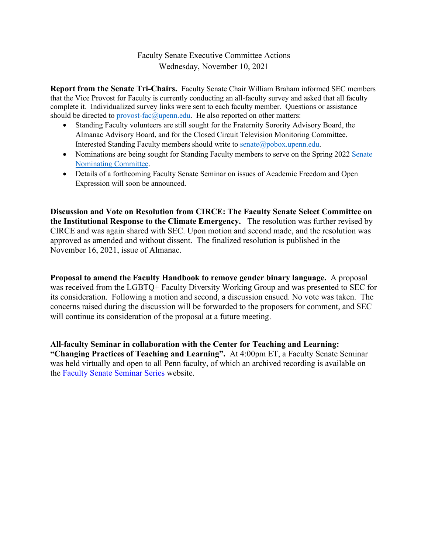## Faculty Senate Executive Committee Actions Wednesday, November 10, 2021

**Report from the Senate Tri-Chairs.** Faculty Senate Chair William Braham informed SEC members that the Vice Provost for Faculty is currently conducting an all-faculty survey and asked that all faculty complete it. Individualized survey links were sent to each faculty member. Questions or assistance should be directed to  $\frac{provost-fac(\alpha)upenn.edu}{pern.edu}$ . He also reported on other matters:

- Standing Faculty volunteers are still sought for the Fraternity Sorority Advisory Board, the Almanac Advisory Board, and for the Closed Circuit Television Monitoring Committee. Interested Standing Faculty members should write to [senate@pobox.upenn.edu.](mailto:senate@pobox.upenn.edu)
- Nominations are being sought for Standing Faculty members to serve on the Spring 2022 Senate [Nominating Committee.](https://provost.upenn.edu/senate/senate-nominating-committee)
- Details of a forthcoming Faculty Senate Seminar on issues of Academic Freedom and Open Expression will soon be announced.

**Discussion and Vote on Resolution from CIRCE: The Faculty Senate Select Committee on the Institutional Response to the Climate Emergency.** The resolution was further revised by CIRCE and was again shared with SEC. Upon motion and second made, and the resolution was approved as amended and without dissent. The finalized resolution is published in the November 16, 2021, issue of Almanac.

**Proposal to amend the Faculty Handbook to remove gender binary language.** A proposal was received from the LGBTQ+ Faculty Diversity Working Group and was presented to SEC for its consideration. Following a motion and second, a discussion ensued. No vote was taken. The concerns raised during the discussion will be forwarded to the proposers for comment, and SEC will continue its consideration of the proposal at a future meeting.

**All-faculty Seminar in collaboration with the Center for Teaching and Learning: "Changing Practices of Teaching and Learning".** At 4:00pm ET, a Faculty Senate Seminar was held virtually and open to all Penn faculty, of which an archived recording is available on the [Faculty Senate Seminar Series](https://provost.upenn.edu/senate/faculty-senate-seminar-series) website.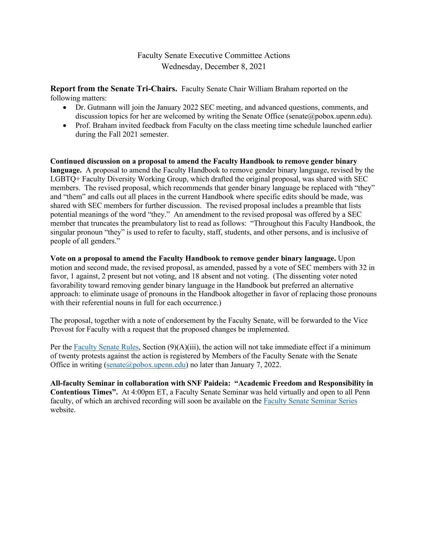#### Faculty Senate Executive Committee Actions Wednesday, December 8, 2021

**Report from the Senate Tri-Chairs.** Faculty Senate Chair William Braham reported on the following matters:

- Dr. Gutmann will join the January 2022 SEC meeting, and advanced questions, comments, and discussion topics for her are welcomed by writing the Senate Office (senate@pobox.upenn.edu).
- Prof. Braham invited feedback from Faculty on the class meeting time schedule launched earlier during the Fall 2021 semester.

**Continued discussion on a proposal to amend the Faculty Handbook to remove gender binary language.** A proposal to amend the Faculty Handbook to remove gender binary language, revised by the LGBTQ+ Faculty Diversity Working Group, which drafted the original proposal, was shared with SEC members. The revised proposal, which recommends that gender binary language be replaced with "they" and "them" and calls out all places in the current Handbook where specific edits should be made, was shared with SEC members for further discussion. The revised proposal includes a preamble that lists potential meanings of the word "they." An amendment to the revised proposal was offered by a SEC member that truncates the preambulatory list to read as follows: "Throughout this Faculty Handbook, the singular pronoun "they" is used to refer to faculty, staff, students, and other persons, and is inclusive of people of all genders."

**Vote on a proposal to amend the Faculty Handbook to remove gender binary language.** Upon motion and second made, the revised proposal, as amended, passed by a vote of SEC members with 32 in favor, 1 against, 2 present but not voting, and 18 absent and not voting. (The dissenting voter noted favorability toward removing gender binary language in the Handbook but preferred an alternative approach: to eliminate usage of pronouns in the Handbook altogether in favor of replacing those pronouns with their referential nouns in full for each occurrence.)

The proposal, together with a note of endorsement by the Faculty Senate, will be forwarded to the Vice Provost for Faculty with a request that the proposed changes be implemented.

Per the [Faculty Senate Rules,](https://provost.upenn.edu/senate/faculty-senate-rules) Section (9)(A)(iii), the action will not take immediate effect if a minimum of twenty protests against the action is registered by Members of the Faculty Senate with the Senate Office in writing (senate  $\widehat{\omega}$  pobox.upenn.edu) no later than January 7, 2022.

**All-faculty Seminar in collaboration with SNF Paideia: "Academic Freedom and Responsibility in Contentious Times".** At 4:00pm ET, a Faculty Senate Seminar was held virtually and open to all Penn faculty, of which an archived recording will soon be available on the [Faculty Senate Seminar Series](https://provost.upenn.edu/senate/faculty-senate-seminar-series) website.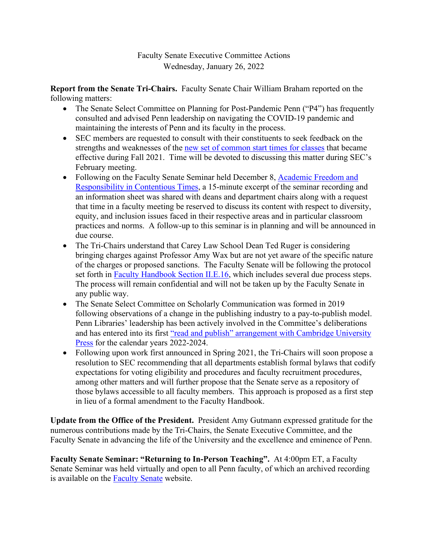# Faculty Senate Executive Committee Actions Wednesday, January 26, 2022

**Report from the Senate Tri-Chairs.** Faculty Senate Chair William Braham reported on the following matters:

- The Senate Select Committee on Planning for Post-Pandemic Penn ("P4") has frequently consulted and advised Penn leadership on navigating the COVID-19 pandemic and maintaining the interests of Penn and its faculty in the process.
- SEC members are requested to consult with their constituents to seek feedback on the strengths and weaknesses of the [new set of common start times for classes](https://catalog.upenn.edu/pennbook/policy-class-meeting-times/) that became effective during Fall 2021. Time will be devoted to discussing this matter during SEC's February meeting.
- Following on the Faculty Senate Seminar held December 8, Academic Freedom and [Responsibility in Contentious Times,](https://provost.upenn.edu/senate/video-academic-freedom-and-responsibility-contentious-times) a 15-minute excerpt of the seminar recording and an information sheet was shared with deans and department chairs along with a request that time in a faculty meeting be reserved to discuss its content with respect to diversity, equity, and inclusion issues faced in their respective areas and in particular classroom practices and norms. A follow-up to this seminar is in planning and will be announced in due course.
- The Tri-Chairs understand that Carey Law School Dean Ted Ruger is considering bringing charges against Professor Amy Wax but are not yet aware of the specific nature of the charges or proposed sanctions. The Faculty Senate will be following the protocol set forth in [Faculty Handbook Section II.E.16,](https://catalog.upenn.edu/faculty-handbook/ii/ii-e/) which includes several due process steps. The process will remain confidential and will not be taken up by the Faculty Senate in any public way.
- The Senate Select Committee on Scholarly Communication was formed in 2019 following observations of a change in the publishing industry to a pay-to-publish model. Penn Libraries' leadership has been actively involved in the Committee's deliberations and has entered into its first ["read and publish" arrangement with Cambridge University](https://www.library.upenn.edu/blogs/libraries-news/penn-libraries-unveils-first-read-and-publish-agreement-cambridge-university)  [Press](https://www.library.upenn.edu/blogs/libraries-news/penn-libraries-unveils-first-read-and-publish-agreement-cambridge-university) for the calendar years 2022-2024.
- Following upon work first announced in Spring 2021, the Tri-Chairs will soon propose a resolution to SEC recommending that all departments establish formal bylaws that codify expectations for voting eligibility and procedures and faculty recruitment procedures, among other matters and will further propose that the Senate serve as a repository of those bylaws accessible to all faculty members. This approach is proposed as a first step in lieu of a formal amendment to the Faculty Handbook.

**Update from the Office of the President.** President Amy Gutmann expressed gratitude for the numerous contributions made by the Tri-Chairs, the Senate Executive Committee, and the Faculty Senate in advancing the life of the University and the excellence and eminence of Penn.

**Faculty Senate Seminar: "Returning to In-Person Teaching".** At 4:00pm ET, a Faculty Senate Seminar was held virtually and open to all Penn faculty, of which an archived recording is available on the [Faculty Senate](https://provost.upenn.edu/senate/returning-person-teaching) website.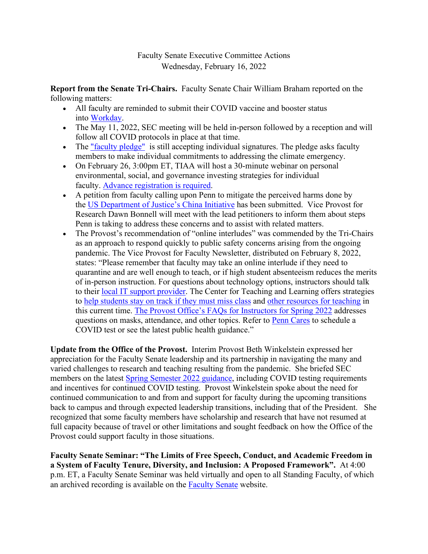## Faculty Senate Executive Committee Actions Wednesday, February 16, 2022

**Report from the Senate Tri-Chairs.** Faculty Senate Chair William Braham reported on the following matters:

- All faculty are reminded to submit their COVID vaccine and booster status into [Workday.](https://coronavirus.upenn.edu/content/vaccinations)
- The May 11, 2022, SEC meeting will be held in-person followed by a reception and will follow all COVID protocols in place at that time.
- The ["faculty pledge"](https://almanac.upenn.edu/volume-66-number-35#from-the-senate-office-resolution-on-the-individual-and-institutional-responses-of-faculty-in-the-university-of-pennsylvania-to-the-global-climate-emergency) is still accepting individual signatures. The pledge asks faculty members to make individual commitments to addressing the climate emergency.
- On February 26, 3:00pm ET, TIAA will host a 30-minute webinar on personal environmental, social, and governance investing strategies for individual faculty. [Advance registration is required.](https://event.on24.com/wcc/r/3611980/DCD12F759FB62AAD0E66A925B2F70EE3)
- A petition from faculty calling upon Penn to mitigate the perceived harms done by the [US Department of Justice's China Initiative](https://www.justice.gov/nsd/information-about-department-justice-s-china-initiative-and-compilation-china-related) has been submitted. Vice Provost for Research Dawn Bonnell will meet with the lead petitioners to inform them about steps Penn is taking to address these concerns and to assist with related matters.
- The Provost's recommendation of "online interludes" was commended by the Tri-Chairs as an approach to respond quickly to public safety concerns arising from the ongoing pandemic. The Vice Provost for Faculty Newsletter, distributed on February 8, 2022, states: "Please remember that faculty may take an online interlude if they need to quarantine and are well enough to teach, or if high student absenteeism reduces the merits of in-person instruction. For questions about technology options, instructors should talk to their [local IT support provider.](https://www.isc.upenn.edu/facultystaff-support-directory) The Center for Teaching and Learning offers strategies to [help students stay on track if they must miss class](https://www.ctl.upenn.edu/strategies-help-students-stay-track-when-they-must-miss-class) and [other resources for teaching](https://www.ctl.upenn.edu/) in this current time. [The Provost Office's FAQs for Instructors for Spring 2022](https://provost.upenn.edu/spring-2022-covid-19-faqs-instructors) addresses questions on masks, attendance, and other topics. Refer to [Penn Cares](https://coronavirus.upenn.edu/) to schedule a COVID test or see the latest public health guidance."

**Update from the Office of the Provost.** Interim Provost Beth Winkelstein expressed her appreciation for the Faculty Senate leadership and its partnership in navigating the many and varied challenges to research and teaching resulting from the pandemic. She briefed SEC members on the latest [Spring Semester 2022 guidance,](https://coronavirus.upenn.edu/content/guidance-spring-semester) including COVID testing requirements and incentives for continued COVID testing. Provost Winkelstein spoke about the need for continued communication to and from and support for faculty during the upcoming transitions back to campus and through expected leadership transitions, including that of the President. She recognized that some faculty members have scholarship and research that have not resumed at full capacity because of travel or other limitations and sought feedback on how the Office of the Provost could support faculty in those situations.

**Faculty Senate Seminar: "The Limits of Free Speech, Conduct, and Academic Freedom in a System of Faculty Tenure, Diversity, and Inclusion: A Proposed Framework".** At 4:00 p.m. ET, a Faculty Senate Seminar was held virtually and open to all Standing Faculty, of which an archived recording is available on the [Faculty Senate](https://provost.upenn.edu/senate/faculty-senate-seminar-anita-allen) website.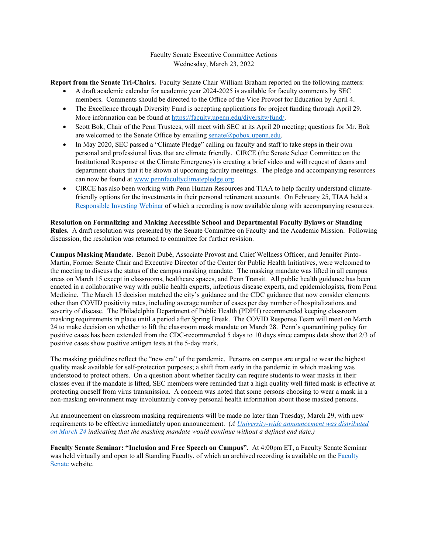#### Faculty Senate Executive Committee Actions Wednesday, March 23, 2022

**Report from the Senate Tri-Chairs.** Faculty Senate Chair William Braham reported on the following matters:

- A draft academic calendar for academic year 2024-2025 is available for faculty comments by SEC members. Comments should be directed to the Office of the Vice Provost for Education by April 4.
- The Excellence through Diversity Fund is accepting applications for project funding through April 29. More information can be found a[t https://faculty.upenn.edu/diversity/fund/.](https://faculty.upenn.edu/diversity/fund/)
- Scott Bok, Chair of the Penn Trustees, will meet with SEC at its April 20 meeting; questions for Mr. Bok are welcomed to the Senate Office by emailing  $\frac{\text{serate}(a) \text{pobox.upenn.edu}}{\text{pobox.upenn.edu}}$ .
- In May 2020, SEC passed a "Climate Pledge" calling on faculty and staff to take steps in their own personal and professional lives that are climate friendly. CIRCE (the Senate Select Committee on the Institutional Response ot the Climate Emergency) is creating a brief video and will request of deans and department chairs that it be shown at upcoming faculty meetings. The pledge and accompanying resources can now be found a[t www.pennfacultyclimatepledge.org.](http://www.pennfacultyclimatepledge.org/)
- CIRCE has also been working with Penn Human Resources and TIAA to help faculty understand climatefriendly options for the investments in their personal retirement accounts. On February 25, TIAA held a [Responsible Investing Webinar](https://provost.upenn.edu/senate/green-investing-individuals) of which a recording is now available along with accompanying resources.

**Resolution on Formalizing and Making Accessible School and Departmental Faculty Bylaws or Standing Rules.** A draft resolution was presented by the Senate Committee on Faculty and the Academic Mission. Following discussion, the resolution was returned to committee for further revision.

**Campus Masking Mandate.** Benoit Dubé, Associate Provost and Chief Wellness Officer, and Jennifer Pinto-Martin, Former Senate Chair and Executive Director of the Center for Public Health Initiatives, were welcomed to the meeting to discuss the status of the campus masking mandate. The masking mandate was lifted in all campus areas on March 15 except in classrooms, healthcare spaces, and Penn Transit. All public health guidance has been enacted in a collaborative way with public health experts, infectious disease experts, and epidemiologists, from Penn Medicine. The March 15 decision matched the city's guidance and the CDC guidance that now consider elements other than COVID positivity rates, including average number of cases per day number of hospitalizations and severity of disease. The Philadelphia Department of Public Health (PDPH) recommended keeping classroom masking requirements in place until a period after Spring Break. The COVID Response Team will meet on March 24 to make decision on whether to lift the classroom mask mandate on March 28. Penn's quarantining policy for positive cases has been extended from the CDC-recommended 5 days to 10 days since campus data show that 2/3 of positive cases show positive antigen tests at the 5-day mark.

The masking guidelines reflect the "new era" of the pandemic. Persons on campus are urged to wear the highest quality mask available for self-protection purposes; a shift from early in the pandemic in which masking was understood to protect others. On a question about whether faculty can require students to wear masks in their classes even if the mandate is lifted, SEC members were reminded that a high quality well fitted mask is effective at protecting oneself from virus transmission. A concern was noted that some persons choosing to wear a mask in a non-masking environment may involuntarily convey personal health information about those masked persons.

An announcement on classroom masking requirements will be made no later than Tuesday, March 29, with new requirements to be effective immediately upon announcement. (*A [University-wide announcement was distributed](https://coronavirus.upenn.edu/announcement/update-classroom-masking)  [on March 24](https://coronavirus.upenn.edu/announcement/update-classroom-masking) indicating that the masking mandate would continue without a defined end date.)*

**Faculty Senate Seminar: "Inclusion and Free Speech on Campus".** At 4:00pm ET, a Faculty Senate Seminar was held virtually and open to all Standing Faculty, of which an archived recording is available on the [Faculty](https://provost.upenn.edu/senate/faculty-senate-seminar-anita-allen)  [Senate](https://provost.upenn.edu/senate/faculty-senate-seminar-anita-allen) website.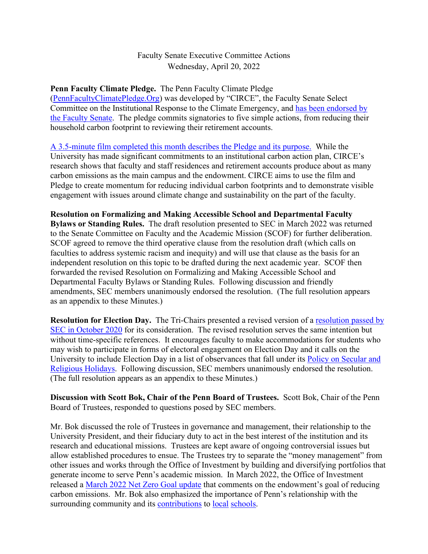## Faculty Senate Executive Committee Actions Wednesday, April 20, 2022

**Penn Faculty Climate Pledge.** The Penn Faculty Climate Pledge [\(PennFacultyClimatePledge.Org\)](https://urldefense.com/v3/__http:/PennFacultyClimatePledge.Org__;!!IBzWLUs!C6kH9AEKT5G4YNBcopJznjEqGA-rGm4ZU0J_KkyXZZbyJCHUKNYaXI61XvAQtQPVRz5jJw$) was developed by "CIRCE", the Faculty Senate Select Committee on the Institutional Response to the Climate Emergency, and [has been endorsed by](https://almanac.upenn.edu/volume-66-number-35#from-the-senate-office-resolution-on-the-individual-and-institutional-responses-of-faculty-in-the-university-of-pennsylvania-to-the-global-climate-emergency)  [the Faculty Senate.](https://almanac.upenn.edu/volume-66-number-35#from-the-senate-office-resolution-on-the-individual-and-institutional-responses-of-faculty-in-the-university-of-pennsylvania-to-the-global-climate-emergency) The pledge commits signatories to five simple actions, from reducing their household carbon footprint to reviewing their retirement accounts.

[A 3.5-minute film completed this month describes the Pledge and its purpose.](https://vimeo.com/698668481) While the University has made significant commitments to an institutional carbon action plan, CIRCE's research shows that faculty and staff residences and retirement accounts produce about as many carbon emissions as the main campus and the endowment. CIRCE aims to use the film and Pledge to create momentum for reducing individual carbon footprints and to demonstrate visible engagement with issues around climate change and sustainability on the part of the faculty.

**Resolution on Formalizing and Making Accessible School and Departmental Faculty Bylaws or Standing Rules.** The draft resolution presented to SEC in March 2022 was returned to the Senate Committee on Faculty and the Academic Mission (SCOF) for further deliberation. SCOF agreed to remove the third operative clause from the resolution draft (which calls on faculties to address systemic racism and inequity) and will use that clause as the basis for an independent resolution on this topic to be drafted during the next academic year. SCOF then forwarded the revised Resolution on Formalizing and Making Accessible School and Departmental Faculty Bylaws or Standing Rules. Following discussion and friendly amendments, SEC members unanimously endorsed the resolution. (The full resolution appears as an appendix to these Minutes.)

**Resolution for Election Day.** The Tri-Chairs presented a revised version of a resolution [passed by](https://almanac.upenn.edu/articles/resolution-for-election-day-all-faculty-instructors-teaching-courses-at-the-university-of-pennsylvania-should-accommodate-students-who-wish-to-engage-in-election-related-activities-on-election-day)  [SEC in October 2020](https://almanac.upenn.edu/articles/resolution-for-election-day-all-faculty-instructors-teaching-courses-at-the-university-of-pennsylvania-should-accommodate-students-who-wish-to-engage-in-election-related-activities-on-election-day) for its consideration. The revised resolution serves the same intention but without time-specific references. It encourages faculty to make accommodations for students who may wish to participate in forms of electoral engagement on Election Day and it calls on the University to include Election Day in a list of observances that fall under its [Policy on Secular and](https://catalog.upenn.edu/pennbook/secular-religious-holidays/#:%7E:text=The%20University%20recognizes%2Fobserves%20the,2.)  [Religious Holidays.](https://catalog.upenn.edu/pennbook/secular-religious-holidays/#:%7E:text=The%20University%20recognizes%2Fobserves%20the,2.) Following discussion, SEC members unanimously endorsed the resolution. (The full resolution appears as an appendix to these Minutes.)

**Discussion with Scott Bok, Chair of the Penn Board of Trustees.** Scott Bok, Chair of the Penn Board of Trustees, responded to questions posed by SEC members.

Mr. Bok discussed the role of Trustees in governance and management, their relationship to the University President, and their fiduciary duty to act in the best interest of the institution and its research and educational missions. Trustees are kept aware of ongoing controversial issues but allow established procedures to ensue. The Trustees try to separate the "money management" from other issues and works through the Office of Investment by building and diversifying portfolios that generate income to serve Penn's academic mission. In March 2022, the Office of Investment released a [March 2022 Net Zero Goal update](https://investments.upenn.edu/sites/default/files/downloads/Penn%20Office%20of%20Investments%20Update%20on%20Endowment%20Net-Zero%20Goal.pdf) that comments on the endowment's goal of reducing carbon emissions. Mr. Bok also emphasized the importance of Penn's relationship with the surrounding community and its [contributions](https://www.inquirer.com/news/penn-lea-school-penn-alexander-support-20220117.html) to [local](https://www.upenn.edu/life-at-penn/community) [schools.](https://almanac.upenn.edu/articles/penn-pledges-100-million-to-the-school-district-of-philadelphia)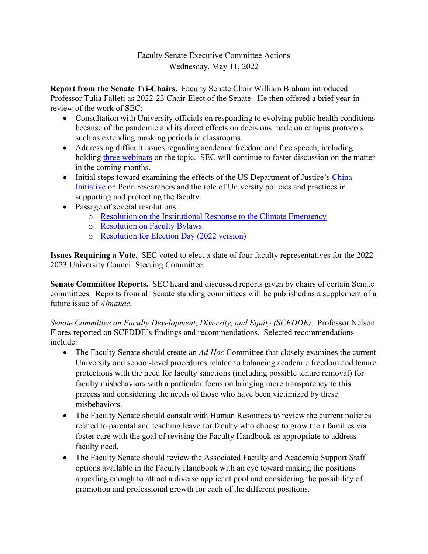# Faculty Senate Executive Committee Actions Wednesday, May 11, 2022

**Report from the Senate Tri-Chairs.** Faculty Senate Chair William Braham introduced Professor Tulia Falleti as 2022-23 Chair-Elect of the Senate. He then offered a brief year-inreview of the work of SEC:

- Consultation with University officials on responding to evolving public health conditions because of the pandemic and its direct effects on decisions made on campus protocols such as extending masking periods in classrooms.
- Addressing difficult issues regarding academic freedom and free speech, including holding three webinars on the topic. SEC will continue to foster discussion on the matter in the coming months.
- Initial steps toward examining the effects of the US Department of Justice's China Initiative on Penn researchers and the role of University policies and practices in supporting and protecting the faculty.
- Passage of several resolutions:
	- o Resolution on the Institutional Response to the Climate Emergency
	- o Resolution on Faculty Bylaws
	- o Resolution for Election Day (2022 version)

**Issues Requiring a Vote.** SEC voted to elect a slate of four faculty representatives for the 2022- 2023 University Council Steering Committee.

**Senate Committee Reports.** SEC heard and discussed reports given by chairs of certain Senate committees. Reports from all Senate standing committees will be published as a supplement of a future issue of *Almanac.*

*Senate Committee on Faculty Development, Diversity, and Equity (SCFDDE)*. Professor Nelson Flores reported on SCFDDE's findings and recommendations. Selected recommendations include:

- The Faculty Senate should create an *Ad Hoc* Committee that closely examines the current University and school-level procedures related to balancing academic freedom and tenure protections with the need for faculty sanctions (including possible tenure removal) for faculty misbehaviors with a particular focus on bringing more transparency to this process and considering the needs of those who have been victimized by these misbehaviors.
- The Faculty Senate should consult with Human Resources to review the current policies related to parental and teaching leave for faculty who choose to grow their families via foster care with the goal of revising the Faculty Handbook as appropriate to address faculty need.
- The Faculty Senate should review the Associated Faculty and Academic Support Staff options available in the Faculty Handbook with an eye toward making the positions appealing enough to attract a diverse applicant pool and considering the possibility of promotion and professional growth for each of the different positions.